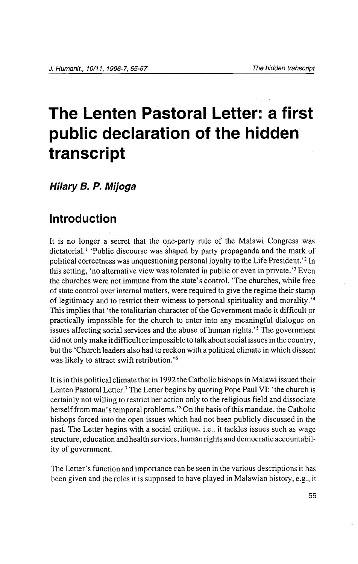# **The Lenten Pastoral Letter: a first public declaration of the hidden transcript**

**Hilary 8. P. Mijoga** 

## **Introduction**

It is no longer a secret that the one-party rule of the Malawi Congress was dictatorial. <sup>1</sup>'Public discourse was shaped by party propaganda and the mark of political correctness was unquestioning personal loyalty to the Life President.'<sup>2</sup> In this setting, 'no alternative view was tolerated in public or even in private. ' 3 Even the churches were not immune from the state's control. 'The churches, while free of state control over internal matters, were required to give the regime their stamp of legitimacy and to restrict their witness to personal spirituality and morality. ' 4 This implies that 'the totalitarian character of the Government made it difficult or practically impossible for the church to enter into any meaningful dialogue on issues affecting social services and the abuse of human rights.<sup>'5</sup> The government did not only make it difficult or impossible to talk about social issues in the country, but the 'Church leaders also had to reckon with a political climate in which dissent was likely to attract swift retribution. ' 6

It is in this political climate that in 1992 the Catholic bishops in Malawi issued their Lenten Pastoral Letter.<sup>7</sup> The Letter begins by quoting Pope Paul VI: 'the church is certainly not willing to restrict her action only to the religious field and dissociate herself from man's temporal problems. ' 8 On the basis of this mandate, the Catholic bishops forced into the open issues which had not been publicly discussed in the past. The Letter begins with a social critique, i.e., it tackles issues such as wage structure, education and health services, human rights and democratic accountability of government.

The Letter's function and importance can be seen in the various descriptions it has been given and the roles it is supposed to have played in Malawian history, e.g., it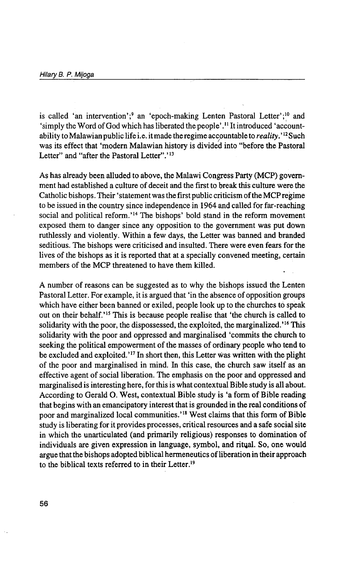is called 'an intervention';<sup>9</sup> an 'epoch-making Lenten Pastoral Letter';<sup>10</sup> and 'simply the Word of God which has liberated the people' . 11 It introduced 'accountability to Malawian public life i.e. it made the regime accpuntable to *reality.'* 12 Such was its effect that 'modern Malawian history is divided into "before the Pastoral Letter" and "after the Pastoral Letter".'<sup>13</sup>

As has already been alluded to above, the Malawi Congress Party (MCP) government had established a culture of deceit and the first to break this culture were the Catholic bishops. Their 'statement was the first public criticism oftheMCPregime to be issued in the country since independence in 1964 and called for far-reaching social and political reform.'<sup>14</sup> The bishops' bold stand in the reform movement exposed them to danger since any opposition to the government was put down ruthlessly and violently. Within a few days, the Letter was banned and branded seditious. The bishops were criticised and insulted. There were even fears for the lives of the bishops as it is reported that at a specially convened meeting, certain members of the MCP threatened to have them killed.

A number of reasons can be suggested as to why the bishops issued the Lenten Pastoral Letter. For example, it is argued that 'in the absence of opposition groups which have either been banned or exiled, people look up to the churches to speak out on their behalf.'<sup>15</sup> This is because people realise that 'the church is called to solidarity with the poor, the dispossessed, the exploited, the marginalized.'<sup>16</sup> This solidarity with the poor and oppressed and marginalised 'commits the church to seeking the political empowerment of the masses of ordinary people who tend to be excluded and exploited.'<sup>17</sup> In short then, this Letter was written with the plight of the poor and marginalised in mind. In this case, the church saw itself as an effective agent of social liberation. The emphasis on the poor and oppressed and marginalised is interesting here, for this is what contextual Bible study is all about. According to Gerald 0. West, contextual Bible study is 'a form of Bible reading that begins with an emancipatory interest that is grounded in the real conditions of poor and marginalized local communities.' 18 West claims that this form of Bible study is liberating for it provides processes, critical resources and a safe social site in which the unarticulated (and primarily religious) responses to domination of individuals are given expression in language, symbol, and ritual. So, one would argue that the bishops adopted biblical hermeneutics of liberation in their approach to the biblical texts referred to in their Letter.<sup>19</sup>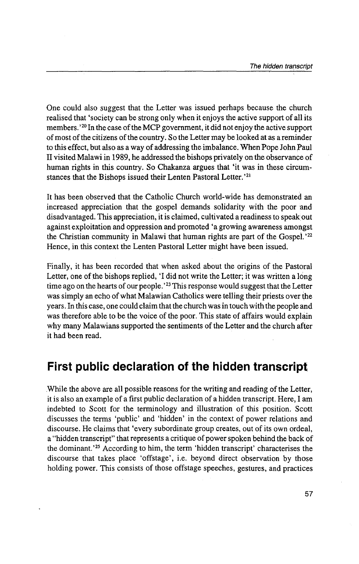One could also suggest that the Letter was issued perhaps because the church realised that 'society can be strong only when it enjoys the active support of all its members.<sup>'20</sup> In the case of the MCP government, it did not enjoy the active support of most of the citizens of the country. So the Letter may be looked at as a reminder to this effect, but also as a way of addressing the imbalance. When Pope John Paul II visited Malawi in 1989, he addressed the bishops privately on the observance of human rights in this country. So Chakanza argues that 'it was in these circumstances that the Bishops issued their Lenten Pastoral Letter.'<sup>21</sup>

It has been observed that the Catholic Church world-wide has demonstrated an increased appreciation that the gospel demands solidarity with the poor and disadvantaged. This appreciation, it is claimed, cultivated a readiness to speak out against exploitation and oppression and promoted 'a growing awareness amongst the Christian community in Malawi that human rights are part of the Gospel. ' 22 Hence, in this context the Lenten Pastoral Letter might have been issued.

Finally, it has been recorded that when asked about the origins of the Pastoral Letter, one of the bishops replied,  $\dot{\mathbf{I}}$  did not write the Letter; it was written a long time ago on the hearts of our people. ' 23 This response would suggest that the Letter was simply an echo of what Malawian Catholics were telling their priests over the years. In this case, one could claim that the church was in touch with the people and was therefore able to be the voice of the poor. This state of affairs would explain why many Malawians supported the sentiments of the Letter and the church after it had been read.

### **First public declaration of the hidden transcript**

While the above are all possible reasons for the writing and reading of the Letter, it is also an example of a first public declaration of a hidden transcript. Here, I am indebted to Scott for the terminology and illustration of this position. Scott discusses the terms 'public' and 'hidden' in the context of power relations and discourse. He claims that 'every subordinate group creates, out of its own ordeal, a "hidden transcript" that represents a critique of power spoken behind the back of the dominant. ' 25 According to him, the term 'hidden transcript' characterises the discourse that takes place 'offstage', i.e. beyond direct observation by those holding power. This consists of those offstage speeches, gestures, and practices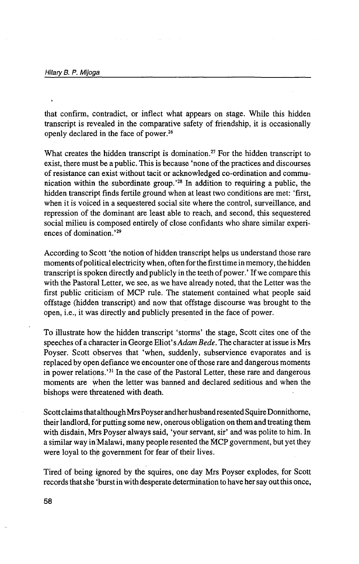that confirm, contradict, or inflect what appears on stage. While this hidden transcript is revealed in the comparative safety of friendship, it is occasionally openly declared in the face of power.26

What creates the hidden transcript is domination.<sup>27</sup> For the hidden transcript to exist, there must be a public. This is because 'none of the practices and discourses of resistance can exist without tacit or acknowledged co-ordination and communication within the subordinate group. ' 28 In addition to requiring a public, the hidden transcript finds fertile ground when at least two conditions are met: 'first, when it is voiced in a sequestered social site where the control, surveillance, and repression of the dominant are least able to reach, and second, this sequestered social milieu is composed entirely of close confidants who share similar experiences of domination.<sup>'29</sup>

According to Scott 'the notion of hidden transcript helps us understand those rare moments of political electricity when, often for the first time in memory, the hidden transcript is spoken directly and publicly in the teeth of power.' If we compare this with the Pastoral Letter, we see, as we have already noted, that the Letter was the first public criticism of MCP rule. The statement contained what people said offstage (hidden transcript) and now that offstage discourse was brought to the open, i.e., it was directly and publicly presented in the face of power.

To illustrate how the hidden transcript 'storms' the stage, Scott cites one of the speeches of a character in George Eliot's *Adam Bede.* The character at issue is Mrs Poyser. Scott observes that 'when, suddenly, subservience evaporates and is replaced by open defiance we encounter one of those rare and dangerous moments in power relations.'<sup>31</sup> In the case of the Pastoral Letter, these rare and dangerous moments are when the letter was banned and declared seditious and when the bishops were threatened with death.

Scott claims that although Mrs Poyser and her husband resented Squire Donnithorne, their landlord, for putting some new, onerous obligation on them and treating them with disdain, Mrs Poyser always said, 'your servant, sir' and was polite to him. In a similar way in Malawi, many people resented the MCP government, but yet they were loyal to the government for fear of their lives.

Tired of being ignored by the squires, one day Mrs Poyser explodes, for Scott records that she 'burst in with desperate determination to have her say out this once,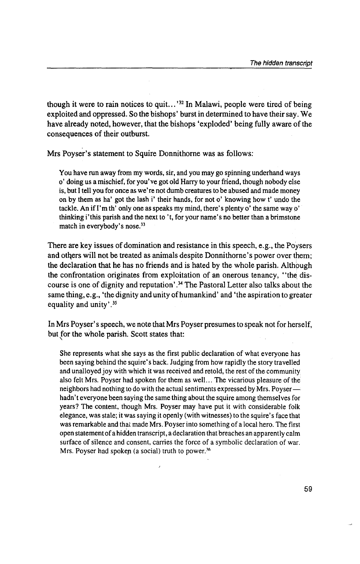though it were to rain notices to quit. .. ' 32 In Malawi, people were tired of being exploited and oppressed. So the bishops' burst in determined to have their say. We have already noted, however, that the bishops 'exploded' being fully aware of the consequences of their outburst.

Mrs Poyser's statement to Squire Donnithorne was as follows:

You have run away from my words, sir, and you may go spinning underhand ways o' doing us a mischief, for you've got old Harry to your friend, though nobody eise is, but I tell you for once as we're not dumb creatures to be abused and made money on by them as ha' got the lash i' their hands, for not o' knowing how t' undo the tackle. An if I'm th' only one as speaks my mind, there's plenty o' the same way o' thinking i'this parish and the next to 't, for your name's no better than a brimstone match in everybody's nose.<sup>33</sup>

There are key issues of domination and resistance in this speech, e.g., the Poysers and others will not be treated as animals despite Donnithorne's power over them; the declaration that he has no friends and is hated by the whole parish. Although the confrontation originates from exploitation of an onerous tenancy, ''the discourse is one of dignity and reputation'. 34 The Pastoral Letter also talks about the same thing, e.g., 'the dignity and unity of humankind' and 'the aspiration to greater equality and unity'.<sup>35</sup>

In Mrs Poyser's speech, we note that Mrs Poyser presumes to speak not for herself, but for the whole parish. Scott states that: "

She represents what she says as the first public declaration of what everyone has been saying behind the squire's back. Judging from how rapidly the story travelled and unalloyed joy with which it was received and retold, the rest of the community also felt Mrs. Poyser had spoken for them as well ... The vicarious pleasure of the neighbors had nothing to do with the actual sentiments expressed by Mrs. Poyserhadn' t everyone been saying the same thing about the squire among themselves for years? The content, though Mrs. Poyser may have put it with considerable folk elegance, was stale; it was saying it openly (with witnesses) to the squire's face that was remarkable and that made Mrs. Poyser into something of a local hero. The first open statement of a hidden transcript, a declaration that breaches an apparently calm surface of silence and consent, carries the force of a symbolic declaration of war. Mrs. Poyser had spoken (a social) truth to power.<sup>36</sup>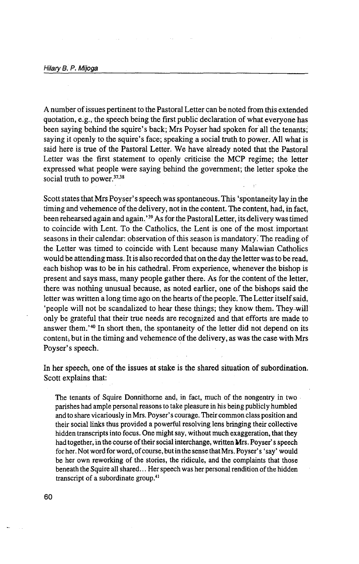A number of issues pertinent to the Pastoral Letter can be noted from this extended quotation, e.g., the speech being the first public declaration of what everyone has been saying behind the squire's back; Mrs Poyser had spoken for all the tenants; saying it openly to the squire's face; speaking a social truth to power. All what is said here is true of the Pastoral Letter. We have already noted that the Pastoral Letter was the first statement to openly criticise the MCP regime; the letter expressed what people were saying behind the government; the letter spoke the social truth to power.<sup>37,38</sup>

Scott states that Mrs Poyser's speech was spontaneous. This 'spontaneity lay in the timing and vehemence of the delivery, not in the content. The content, had, in fact, been rehearsed again and again. ' 39 As for the Pastoral Letter, its delivery was timed to coincide with Lent. To the Catholics, the Lent is one of the most.important seasons in their calendar: observation of this season is mandatory: The reading of the Letter was timed to coincide with Lent because many Malawian Catholics would be attending mass. It is also recorded that on the day the letter was to be read, each bishop was to be in his cathedral. From experience, whenever the bishop is present and says mass, many people gather there. As for the content of the letter, there was nothing unusual because, as noted earlier, one of the bishops said the letter was written a long time ago on the hearts of the people. The Letter itself said, 'people will not be scandalized to hear these things; they know them. They will only be grateful that their true needs are recognized and that efforts are made to answer them. ' 40 In short then, the spontaneity of the letter did not depend on its content, but in the timing and vehemence of the delivery, as was the case with Mrs Poyser's speech.

In her speech, one of the issues at stake is the shared situation of subordination. Scott explains that:

The tenants of Squire Donnithome and, in fact, much of the nongentry in two parishes had ample personal reasons to take pleasure in his being publicly humbled and to share vicariously in Mrs. Poyser' s courage. Their common class position and their social links thus provided a powerful resolving lens bringing their collective hidden transcripts into focus. One might say, without much exaggeration, that they had together, in the course of their social interchange, written Mrs. Poyser' s speech for her. Not word for word, of course, but in the sense that Mrs. Poyser's 'say' would be her own reworking of the stories, the ridicule, and the complaints that those beneath the Squire all shared ... Her speech was her personal rendition of the hidden transcript of a subordinate group.41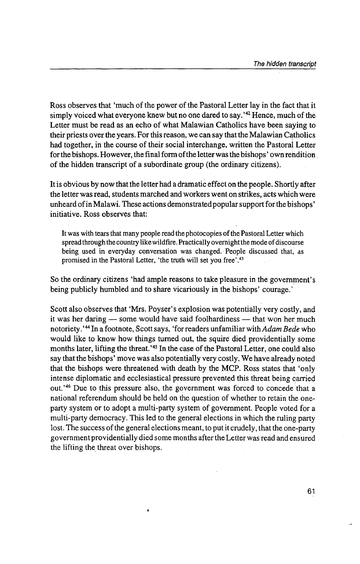Ross observes that 'much of the power of the Pastoral Letter lay in the fact that it simply voiced what everyone knew but no one dared to say.<sup>142</sup> Hence, much of the Letter must be read as an echo of what Malawian Catholics have been saying to their priests over the years. For this reason, we can say that the Malawian Catholics had together, in the course of their social interchange, written the Pastoral Letter for the bishops. However, the final form of the letter was the bishops' own rendition of the hidden transcript of a subordinate group (the ordinary citizens).

It is obvious by now that the letter had a dramatic effect on the people. Shortly after the letter was read, students marched and workers went on strikes, acts which were unheard of in Malawi. These actions demonstrated popular support for the bishops' initiative. Ross observes that:

It was with tears that many people read the photocopies of the Pastoral Letter which spread through the country like wildfire. Practically overnight the mode of discourse being used in everyday conversation was changed. People discussed that, as promised in the Pastoral Letter, 'the truth will set you free' . 43

So the ordinary citizens 'had ample reasons to take pleasure in the government's being publicly humbled and to share vicariously in the bishops' courage.'

Scott also observes that 'Mrs. Poyser's explosion was potentially very costly, and it was her daring  $-$  some would have said foolhardiness  $-$  that won her much notoriety. ' 44 In a footnote, Scott says, 'for readers unfamiliar with *Adam Bede* who would like to know how things turned out, the squire died providentially some months later, lifting the threat. ' 45 In the case of the Pastoral Letter, one could also say that the bishops' move was also potentially very costly. We have already noted that the bishops were threatened with death by the MCP. Ross states that 'only intense diplomatic and ecclesiastical pressure prevented this threat being carried out.<sup>'46</sup> Due to this pressure also, the government was forced to concede that a national referendum should be held on the question of whether to retain the oneparty system or to adopt a multi-party system of government. People voted for a multi-party democracy. This led to the general elections in which the ruling party lost. The success of the general elections meant, to put it crudely, that the one-party government providentially died some months after the Letter was read and ensured the lifting the threat over bishops.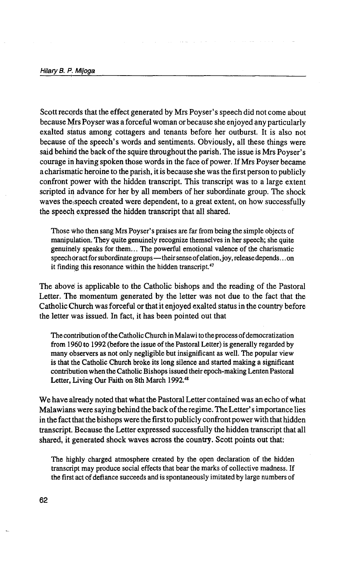Scott records that the effect generated by Mrs Poyser's speech did not come about because Mrs Poyser was a forceful woman or because she enjoyed any particularly exalted status among cottagers and tenants before her outburst. It is also not because of the speech's words and sentiments. Obviously, all these things were said behind the back of the squire throughout the parish. The issue is Mrs Poyser's courage in having spoken those words in the face of power. If Mrs Poyser became a charismatic heroine to the parish, it is because she was the first person to publicly confront power with the hidden transcript. This transcript was to a large extent scripted in advance for her by all members of her subordinate group. The shock waves the speech created were dependent, to a great extent, on how successfully the speech expressed the hidden transcript that all shared.

Those who then sang Mrs Poyser' s praises are far from being the simple objects of manipulation; They quite genuinely recognize themselves in her speech; she quite genuinely speaks for them ... The powerful emotional valence of the charismatic speech or act for subordinate groups-their sense of elation, joy, release depends ... on it finding this resonance within the hidden transcript. $47$ 

The above is applicable to the Catholic bishops and the reading of the Pastoral Letter. The momentum generated by the letter was not due to the fact that the Catholic Church was forceful or that it enjoyed exalted status in the country before the letter was issued. In fact, it has been pointed out that

The contribution of the Catholic Church in Malawi to the process of democratization from 1960 to 1992 (before the issue of the Pastoral Letter) is generally regarded by many observers as not only negligible but insignificant as well. The popular view is that the Catholic Church broke its long silence and started making a significant contribution when the Catholic Bishops issued their epoch-making Lenten Pastoral Letter, Living Our Faith on 8th March 1992.48

We have already noted that what the Pastoral Letter contained was an echo of what Malawians were saying behind the back of the regime. The Letter's importance lies in the fact that the bishops were the first to publicly confront power with that hidden transcript. Because the Letter expressed successfully the hidden transcript that all shared, it generated shock waves across the country. Scott points out that:

The highly charged atmosphere created by the open declaration of the hidden transcript may produce social effects that bear the marks of collective madness. If the first act of defiance succeeds and is spontaneously imitated by large numbers of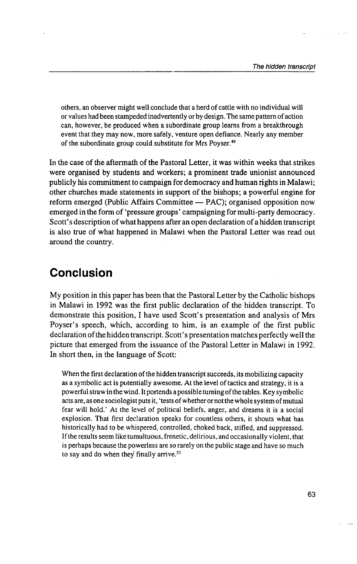others, an observer might well conclude that a herd of cattle with no individual will or values had been stampeded inadvertently or by design. The same pattern of action can, however, be produced when a subordinate group learns from a breakthrough event that they may now, more safely, venture open defiance. Nearly any member of the subordinate group could substitute for Mrs Poyser.<sup>49</sup>

In the case of the aftermath of the Pastoral Letter, it was within weeks that strikes were organised by students and workers; a prominent trade unionist announced publicly his commitment to campaign for democracy and human rights in Malawi; other churches made statements in support of the bishops; a powerful engine for reform emerged (Public Affairs Committee  $-$  PAC); organised opposition now emerged in the form of 'pressure groups' campaigning for multi-party democracy. Scott's description of what happens after an open declaration of a hidden transcript is also true of what happened in Malawi when the Pastoral Letter was read out around the country.

#### **Conclusion**

My position in this paper has been that the Pastoral Letter by the Catholic bishops in Malawi in 1992 was the first public declaration of the hidden transcript. To demonstrate this position, I have used Scott's presentation and analysis of Mrs Poyser's speech, which, according to him, is an example of the first public declaration of the hidden transcript. Scott's presentation matches perfectly well the picture that emerged from the issuance of the Pastoral Letter in Malawi in 1992. In short then, in the language of Scott:

When the first declaration of the hidden transcript succeeds, its mobilizing capacity as a symbolic act is potentially awesome. At the level of tactics and strategy, it is a powerful straw in the wind. It portends a possible turning of the tables. Key symbolic acts are, as one sociologist puts it, 'tests of whether or not the whole system of mutual fear will hold.' At the level of political beliefs, anger, and dreams it is a social explosion. That first declaration speaks for countless others, it shouts what has historically had to be whispered, controlled, choked back, stifled, and suppressed. If the results seem like tumultuous, frenetic, delirious, and occasionally violent, that is perhaps because the powerless are so rarely on the public stage and have so much to say and do when they finally arrive.<sup>53</sup>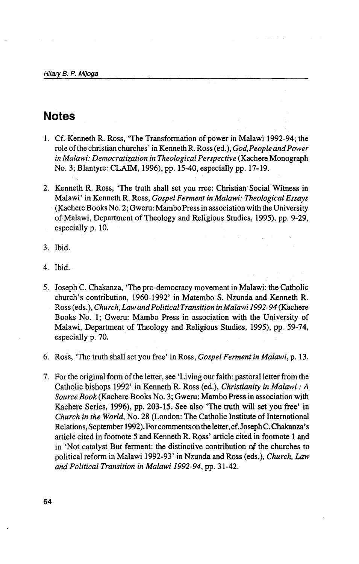#### **Notes**

- 1. Cf. Kenneth R. Ross, 'The Transformation of power in Malawi 1992-94; the role of the christian churches' in Kenneth R. Ross (ed.), *God, People and Power in Malawi: Democratization in Theological Perspective* (Kachere Monograph No. 3; Blantyre: CLAIM, 1996), pp. 15-40, especially pp. 17-19.
- 2. Kenneth R. Ross, 'The truth shall set you rree: Christian Social Witness in Malawi' in Kenneth R. Ross, *Gospel Ferment in Malawi: Theological Essays*  (Kachere Books No. 2; Gweru: Mambo Press in association with the University of Malawi, Department of Theology and Religious Studies, 1995), pp. 9-29, especially p. 10.
- 3. Ibid.
- 4. Ibid.
- 5. Joseph C. Chakanza, 'The pro-democracy movement in Malawi: the Catholic church's contribution, 1960-1992' in Matembo S. Nzunda and Kenneth R. Ross (eds.), *Church, Law and Political Transition in Malawi 1992-94* (Kachere Books No. 1; Gweru: Mambo Press in association with the University of Malawi, Department of Theology and Religious Studies, 1995), pp. 59-74, especially p. 70.
- 6. Ross, 'The truth shall set you free' in Ross, *Gospel Ferment in Malawi,* p. 13.
- 7. For the original form of the letter, see 'Living our faith: pastoral letter from the Catholic bishops 1992' in Kenneth R. Ross (ed.), *Christianity in Malawi: A Source Book* (Kachere Books No. 3; Gweru: Mambo Press in association with Kachere Series, 1996), pp. 203-15. See also 'The truth will set you free' in *Church in the World,* No. 28 (London: The Catholic Institute of International Relations, September 1992). For comments on the letter, cf. Joseph C. Chakanza's article cited in footnote 5 and Kenneth R. Ross' article cited in footnote 1 and in 'Not catalyst But ferment: the distinctive contribution of the churches to political reform in Malawi 1992-93' in Nzunda and Ross (eds.), *Church, Law and Political Transition in Malawi 1992-94,* pp. 31-42.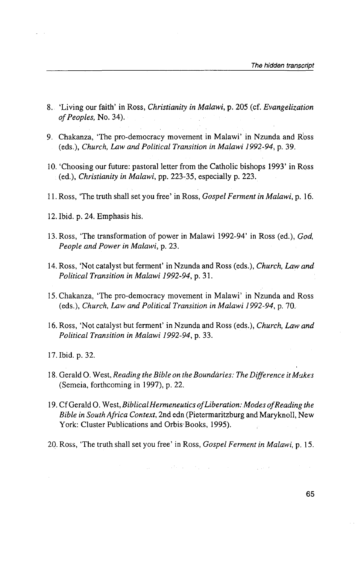- 8. 'Living our faith' in Ross, *Christianity in Malawi,* p. 205 (cf. *Evangelization of Peoples,* No. 34).
- 9. Chakanza, 'The pro-democracy movement in Malawi' in Nzunda and Ross (eds.), *Church, Law and Political Transition in Malawi 1992-94;* p. 39.
- 10. 'Choosing our future: pastoral letter from the Catholic bishops 1993' in Ross (ed.), *Christianity in Malawi,* pp. 223-35, especially p. 223.
- 11. Ross, 'The truth shall set you free' in Ross, *Gospel Ferment in Malawi,* p. 16.
- 12. Ibid. p. 24. Emphasis his.
- 13. Ross, 'The transformation of power in Malawi 1992-94' in Ross (ed.), *God, People and Power in Malawi,* p. 23.
- 14. Ross, 'Not catalyst but ferment' in Nzunda and Ross (eds.), *Church, Law and Political Transition in Malawi 1992-94,* p. 31.
- 15. Chakanza, 'The pro-democracy movement in Malawi' in Nzunda and Ross (eds.), *Church, Law and Political Transition in Malawi 1992-94,* p. 70.
- 16. Ross, 'Not catalyst but ferment' in Nzunda and Ross (eds.), *Church, Law and Political Transition in Malawi 1992-94,* p. 33.
- 17. Ibid. p. 32.
- 18. Gerald 0. West, *Reading the Bible on the Boundaries: The Difference it Mukes*  (Semeia, forthcoming in 1997), p. 22.
- 19. Cf Gerald 0. West, *Biblical Hermeneutics of Liberation: Modes of Reading the Bible in South Africa Context, 2nd edn (Pietermaritzburg and Maryknoll, New* York: Cluster Publications and Orbis Books, 1995).
- 20. Ross, 'The truth shall set you free' in Ross, *Gospel Ferment in Malawi,* p. 15.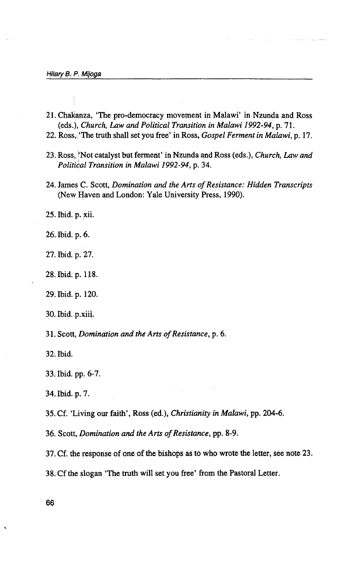- 21. Chakanza, 'The pro-democracy movement in Malawi' in Nzunda and Ross (eds.), *Church, Law and Political Transition in Malawi 1992-94, p. 71.*
- 22. Ross,, 'The truth shall set you free' in Ross, *Gospel Ferment in Malawi,* p. 17.
- 23. Ross, Not catalyst but ferment' in Nzunda and Ross (eds.), *Church, Law and Political Transition in Malawi 1992-94,* p. 34.
- 24. James C. Scott, *Domination and the Arts of Resistance: Hidden Transcripts*  (New Haven and London: Yale University Press, 1990).

25. Ibid. p. xii.

26. Ibid. p. 6.

27. Ibid. p. 27.

- 28. Ibid. p. 118.
- 29. Ibid. p. 120.
- 30. Ibid. p.xiii.

31. Scott, *Domination and the Arts of Resistance,* p. 6.

32. Ibid.

- 33. Ibid. pp. 6-7.
- 34. Ibid. p. 7.

35. Cf. 'Living our faith', Ross (ed.), *Christianity in Malawi,* pp. 204-6.

36. Scott, *Domination and the Arts of Resistance,* pp. 8-9.

37. Cf. the response of one of the bishops as to who wrote the letter, see note 23.

38. Cf the slogan 'The truth will set you free' from the Pastoral Letter.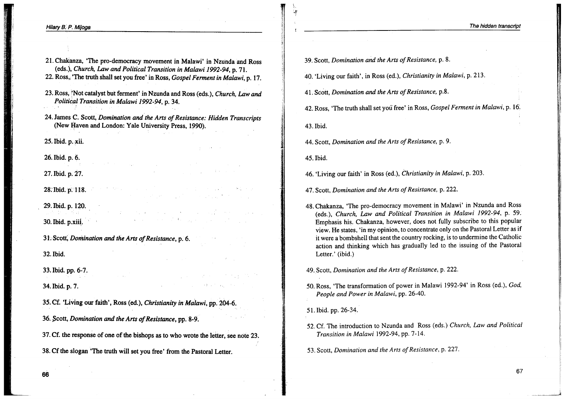39. Scott, Domination and the Arts of Resistance, p. 8.

40. 'Living our faith', in Ross (ed.), Christianity in Malawi, p. 213.

41. Scott, Domination and the Arts of Resistance, p.8.

42. Ross, 'The truth shall set you free' in Ross, Gospel Ferment in Malawi, p. 16.

43. Ibid.

 $\frac{1}{2}$ 

ı

44. Scott, Domination and the Arts of Resistance, p. 9.

45. Ibid.

46. 'Living our faith' in Ross (ed.), Christianity in Malawi, p. 203.

47. Scott, Domination and the Arts of Resistance, p. 222.

- 48. Chakanza, 'The pro-democracy movement in Malawi' in Nzunda and Ross (eds.), Church, Law and Political Transition in Malawi 1992-94, p. 59. Emphasis his. Chakanza, however, does not fully subscribe to this popular view. He states, 'in my opinion, to concentrate only on the Pastoral Letter as if it were a bombshell that sent the country rocking, is to undermine the Catholic action and thinking which has gradually led to the issuing of the Pastoral Letter.' (ibid.)
- 49. Scott, Domination and the Arts of Resistance, p. 222.
- 50. Ross, 'The transformation of power in Malawi 1992-94' in Ross (ed.), God, People and Power in Malawi, pp. 26-40.

51. Ibid. pp. 26-34.

- 52. Cf. The introduction to Nzunda and Ross (eds.) Church, Law and Political Transition in Malawi 1992-94, pp. 7-14.
- 53. Scott, Domination and the Arts of Resistance, p. 227.